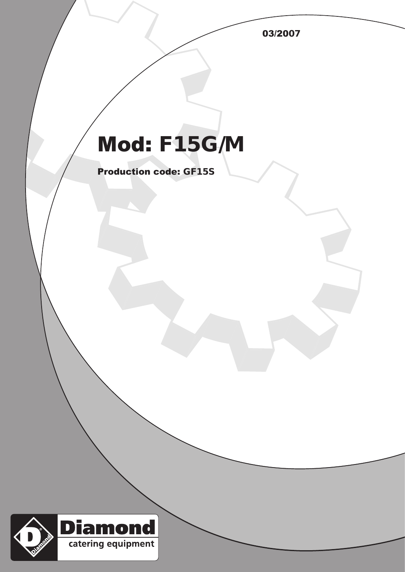03/2007

## Mod: F15G/M

Production code: GF15S

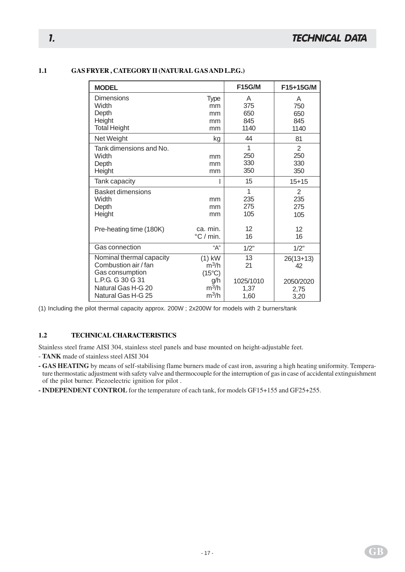## **1.1 GAS FRYER , CATEGORY II (NATURAL GAS AND L.P.G.)**

| <b>MODEL</b>             |                             | <b>F15G/M</b> | F15+15G/M      |
|--------------------------|-----------------------------|---------------|----------------|
| Dimensions               | <b>Type</b>                 | A             | A              |
| Width                    | mm                          | 375           | 750            |
| Depth                    | mm                          | 650           | 650            |
| Height                   | mm                          | 845           | 845            |
| <b>Total Height</b>      | mm                          | 1140          | 1140           |
| Net Weight               | kg                          | 44            | 81             |
| Tank dimensions and No.  |                             | 1             | $\overline{2}$ |
| Width                    | mm                          | 250           | 250            |
| Depth                    | mm                          | 330           | 330            |
| Height                   | mm                          | 350           | 350            |
| Tank capacity            |                             | 15            | $15 + 15$      |
| <b>Basket dimensions</b> |                             | 1             | $\mathbf{2}$   |
| Width                    | mm                          | 235           | 235            |
| Depth                    | mm                          | 275           | 275            |
| Height                   | mm                          | 105           | 105            |
| Pre-heating time (180K)  | ca. min.                    | 12            | 12             |
|                          | $\mathrm{^{\circ}C}$ / min. | 16            | 16             |
| Gas connection           | "А"                         | 1/2"          | 1/2"           |
| Nominal thermal capacity | $(1)$ kW                    | 13            | $26(13+13)$    |
| Combustion air / fan     | $m^3/h$                     | 21            | 42             |
| Gas consumption          | $(15^{\circ}C)$             |               |                |
| L.P.G. G 30 G 31         | g/h                         | 1025/1010     | 2050/2020      |
| Natural Gas H-G 20       | $m^3/h$                     | 1.37          | 2,75           |
| Natural Gas H-G 25       | $m^3/h$                     | 1,60          | 3,20           |

(1) Including the pilot thermal capacity approx. 200W ; 2x200W for models with 2 burners/tank

## **1.2 TECHNICAL CHARACTERISTICS**

Stainless steel frame AISI 304, stainless steel panels and base mounted on height-adjustable feet.

- **TANK** made of stainless steel AISI 304

**- GAS HEATING** by means of self-stabilising flame burners made of cast iron, assuring a high heating uniformity. Temperature thermostatic adjustment with safety valve and thermocouple for the interruption of gas in case of accidental extinguishment of the pilot burner. Piezoelectric ignition for pilot .

**- INDEPENDENT CONTROL** for the temperature of each tank, for models GF15+155 and GF25+255.